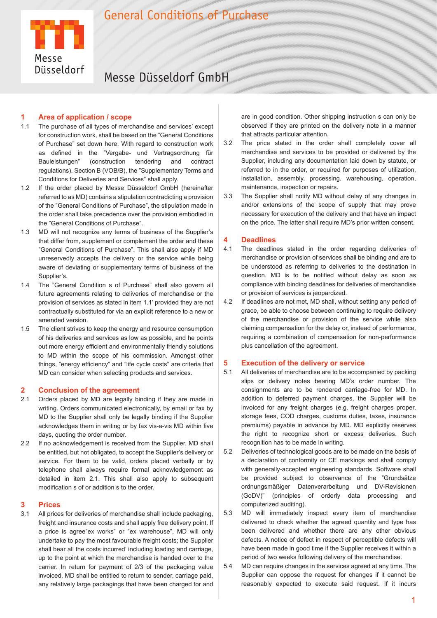

# Messe Düsseldorf GmbH

### **1 Area of application / scope**

- 1.1 The purchase of all types of merchandise and services' except for construction work, shall be based on the "General Conditions of Purchase" set down here. With regard to construction work as defined in the "Vergabe- und Vertragsordnung für Bauleistungen" (construction tendering and contract regulations), Section B (VOB/B), the "Supplementary Terms and Conditions for Deliveries and Services" shall apply.
- 1.2 If the order placed by Messe Düsseldorf GmbH (hereinafter referred to as MD) contains a stipulation contradicting a provision of the "General Conditions of Purchase", the stipulation made in the order shall take precedence over the provision embodied in the "General Conditions of Purchase".
- 1.3 MD will not recognize any terms of business of the Supplier's that differ from, supplement or complement the order and these "General Conditions of Purchase". This shall also apply if MD unreservedly accepts the delivery or the service while being aware of deviating or supplementary terms of business of the Supplier's.
- 1.4 The "General Condition s of Purchase" shall also govern all future agreements relating to deliveries of merchandise or the provision of services as stated in item 1.1' provided they are not contractually substituted for via an explicit reference to a new or amended version.
- 1.5 The client strives to keep the energy and resource consumption of his deliveries and services as low as possible, and he points out more energy efficient and environmentally friendly solutions to MD within the scope of his commission. Amongst other things, "energy efficiency" and "life cycle costs" are criteria that MD can consider when selecting products and services.

## **2 Conclusion of the agreement**

- 2.1 Orders placed by MD are legally binding if they are made in writing. Orders communicated electronically, by email or fax by MD to the Supplier shall only be legally binding if the Supplier acknowledges them in writing or by fax vis-a-vis MD within five days, quoting the order number.
- 2.2 If no acknowledgement is received from the Supplier, MD shall be entitled, but not obligated, to accept the Supplier's delivery or service. For them to be valid, orders placed verbally or by telephone shall always require formal acknowledgement as detailed in item 2.1. This shall also apply to subsequent modification s of or addition s to the order.

#### **3 Prices**

3.1 All prices for deliveries of merchandise shall include packaging, freight and insurance costs and shall apply free delivery point. If a price is agree"ex works" or "ex warehouse", MD will only undertake to pay the most favourable freight costs; the Supplier shall bear all the costs incurred' including loading and carriage, up to the point at which the merchandise is handed over to the carrier. In return for payment of 2/3 of the packaging value invoiced, MD shall be entitled to return to sender, carriage paid, any relatively large packagings that have been charged for and

are in good condition. Other shipping instruction s can only be observed if they are printed on the delivery note in a manner that attracts particular attention.

- 3.2 The price stated in the order shall completely cover all merchandise and services to be provided or delivered by the Supplier, including any documentation laid down by statute, or referred to in the order, or required for purposes of utilization, installation, assembly, processing, warehousing, operation, maintenance, inspection or repairs.
- 3.3 The Supplier shall notify MD without delay of any changes in and/or extensions of the scope of supply that may prove necessary for execution of the delivery and that have an impact on the price. The latter shall require MD's prior written consent.

## **4 Deadlines**

- 4.1 The deadlines stated in the order regarding deliveries of merchandise or provision of services shall be binding and are to be understood as referring to deliveries to the destination in question. MD is to be notified without delay as soon as compliance with binding deadlines for deliveries of merchandise or provision of services is jeopardized.
- 4.2 If deadlines are not met, MD shall, without setting any period of grace, be able to choose between continuing to require delivery of the merchandise or provision of the service while also claiming compensation for the delay or, instead of performance, requiring a combination of compensation for non-performance plus cancellation of the agreement.

#### **5 Execution of the delivery or service**

- 5.1 All deliveries of merchandise are to be accompanied by packing slips or delivery notes bearing MD's order number. The consignments are to be rendered carriage-free for MD. In addition to deferred payment charges, the Supplier will be invoiced for any freight charges (e.g. freight charges proper, storage fees, COD charges, customs duties, taxes, insurance premiums) payable in advance by MD. MD explicitly reserves the right to recognize short or excess deliveries. Such recognition has to be made in writing.
- 5.2 Deliveries of technological goods are to be made on the basis of a declaration of conformity or CE markings and shall comply with generally-accepted engineering standards. Software shall be provided subject to observance of the "Grundsätze ordnungsmäßiger Datenverarbeitung und DV-Revisionen (GoDV)" (principles of orderly data processing and computerized auditing).
- 5.3 MD will immediately inspect every item of merchandise delivered to check whether the agreed quantity and type has been delivered and whether there are any other obvious defects. A notice of defect in respect of perceptible defects will have been made in good time if the Supplier receives it within a period of two weeks following delivery of the merchandise.
- 5.4 MD can require changes in the services agreed at any time. The Supplier can oppose the request for changes if it cannot be reasonably expected to execute said request. If it incurs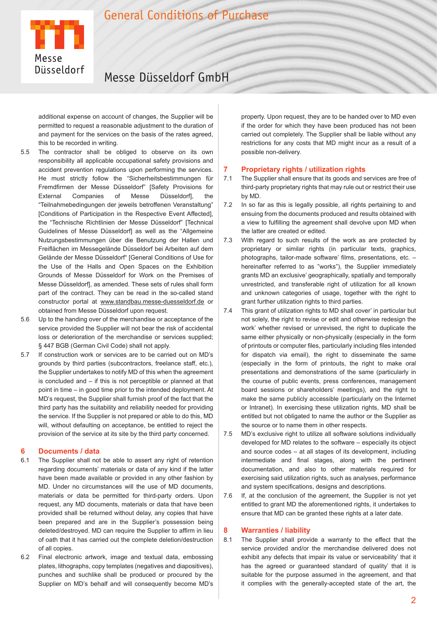

# Messe Düsseldorf GmbH

additional expense on account of changes, the Supplier will be permitted to request a reasonable adjustment to the duration of and payment for the services on the basis of the rates agreed, this to be recorded in writing.

- 5.5 The contractor shall be obliged to observe on its own responsibility all applicable occupational safety provisions and accident prevention regulations upon performing the services. He must strictly follow the "Sicherheitsbestimmungen für Fremdfirmen der Messe Düsseldorf" [Safety Provisions for External Companies of Messe Düsseldorf], the "Teilnahmebedingungen der jeweils betroffenen Veranstaltung" [Conditions of Participation in the Respective Event Affected], the "Technische Richtlinien der Messe Düsseldorf" [Technical Guidelines of Messe Düsseldorf] as well as the "Allgemeine Nutzungsbestimmungen über die Benutzung der Hallen und Freiflächen im Messegelände Düsseldorf bei Arbeiten auf dem Gelände der Messe Düsseldorf" [General Conditions of Use for the Use of the Halls and Open Spaces on the Exhibition Grounds of Messe Düsseldorf for Work on the Premises of Messe Düsseldorf], as amended. These sets of rules shall form part of the contract. They can be read in the so-called stand constructor portal at www.standbau.messe-duesseldorf.de or obtained from Messe Düsseldorf upon request.
- 5.6 Up to the handing over of the merchandise or acceptance of the service provided the Supplier will not bear the risk of accidental loss or deterioration of the merchandise or services supplied; § 447 BGB (German Civil Code) shall not apply.
- 5.7 If construction work or services are to be carried out on MD's grounds by third parties (subcontractors, freelance staff, etc.), the Supplier undertakes to notify MD of this when the agreement is concluded and – if this is not perceptible or planned at that point in time – in good time prior to the intended deployment. At MD's request, the Supplier shall furnish proof of the fact that the third party has the suitability and reliability needed for providing the service. If the Supplier is not prepared or able to do this, MD will, without defaulting on acceptance, be entitled to reject the provision of the service at its site by the third party concerned.

### **6 Documents / data**

- 6.1 The Supplier shall not be able to assert any right of retention regarding documents' materials or data of any kind if the latter have been made available or provided in any other fashion by MD. Under no circumstances will the use of MD documents, materials or data be permitted for third-party orders. Upon request, any MD documents, materials or data that have been provided shall be returned without delay, any copies that have been prepared and are in the Supplier's possession being deleted/destroyed. MD can require the Supplier to affirm in lieu of oath that it has carried out the complete deletion/destruction of all copies.
- 6.2 Final electronic artwork, image and textual data, embossing plates, lithographs, copy templates (negatives and diapositives), punches and suchlike shall be produced or procured by the Supplier on MD's behalf and will consequently become MD's

property. Upon request, they are to be handed over to MD even if the order for which they have been produced has not been carried out completely. The Supplier shall be liable without any restrictions for any costs that MD might incur as a result of a possible non-delivery.

## **7 Proprietary rights / utilization rights**

- 7.1 The Supplier shall ensure that its goods and services are free of third-party proprietary rights that may rule out or restrict their use by MD.
- 7.2 In so far as this is legally possible, all rights pertaining to and ensuing from the documents produced and results obtained with a view to fulfilling the agreement shall devolve upon MD when the latter are created or edited.
- 7.3 With regard to such results of the work as are protected by proprietary or similar rights (in particular texts, graphics, photographs, tailor-made software' films, presentations, etc. – hereinafter referred to as "works"), the Supplier immediately grants MD an exclusive' geographically, spatially and temporally unrestricted, and transferable right of utilization for all known and unknown categories of usage, together with the right to grant further utilization rights to third parties.
- 7.4 This grant of utilization rights to MD shall cover' in particular but not solely, the right to revise or edit and otherwise redesign the work' whether revised or unrevised, the right to duplicate the same either physically or non-physically (especially in the form of printouts or computer files, particularly including files intended for dispatch via email), the right to disseminate the same (especially in the form of printouts, the right to make oral presentations and demonstrations of the same (particularly in the course of public events, press conferences, management board sessions or shareholders' meetings), and the right to make the same publicly accessible (particularly on the Internet or Intranet). In exercising these utilization rights, MD shall be entitled but not obligated to name the author or the Supplier as the source or to name them in other respects.
- 7.5 MD's exclusive right to utilize all software solutions individually developed for MD relates to the software – especially its object and source codes – at all stages of its development, including intermediate and final stages, along with the pertinent documentation, and also to other materials required for exercising said utilization rights, such as analyses, performance and system specifications, designs and descriptions.
- 7.6 If, at the conclusion of the agreement, the Supplier is not yet entitled to grant MD the aforementioned rights, it undertakes to ensure that MD can be granted these rights at a later date.

### **8 Warranties / liability**

8.1 The Supplier shall provide a warranty to the effect that the service provided and/or the merchandise delivered does not exhibit any defects that impair its value or serviceability' that it has the agreed or guaranteed standard of quality' that it is suitable for the purpose assumed in the agreement, and that it complies with the generally-accepted state of the art, the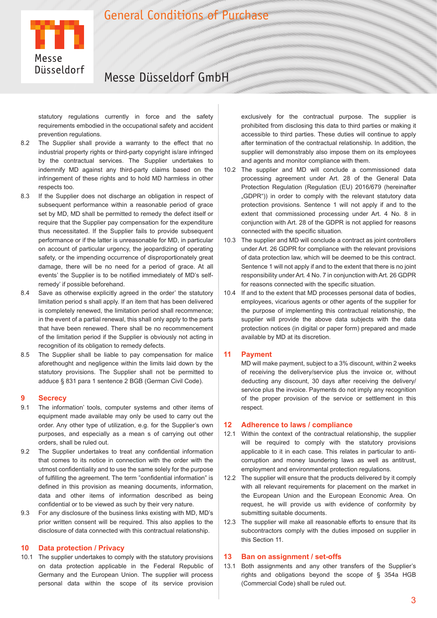

# Messe Düsseldorf GmbH

statutory regulations currently in force and the safety requirements embodied in the occupational safety and accident prevention regulations.

- 8.2 The Supplier shall provide a warranty to the effect that no industrial property rights or third-party copyright is/are infringed by the contractual services. The Supplier undertakes to indemnify MD against any third-party claims based on the infringement of these rights and to hold MD harmless in other respects too.
- 8.3 If the Supplier does not discharge an obligation in respect of subsequent performance within a reasonable period of grace set by MD, MD shall be permitted to remedy the defect itself or require that the Supplier pay compensation for the expenditure thus necessitated. If the Supplier fails to provide subsequent performance or if the latter is unreasonable for MD, in particular on account of particular urgency, the jeopardizing of operating safety, or the impending occurrence of disproportionately great damage, there will be no need for a period of grace. At all events' the Supplier is to be notified immediately of MD's selfremedy' if possible beforehand.
- 8.4 Save as otherwise explicitly agreed in the order' the statutory limitation period s shall apply. If an item that has been delivered is completely renewed, the limitation period shall recommence; in the event of a partial renewal, this shall only apply to the parts that have been renewed. There shall be no recommencement of the limitation period if the Supplier is obviously not acting in recognition of its obligation to remedy defects.
- 8.5 The Supplier shall be liable to pay compensation for malice aforethought and negligence within the limits laid down by the statutory provisions. The Supplier shall not be permitted to adduce § 831 para 1 sentence 2 BGB (German Civil Code).

# **9 Secrecy**<br>**91** The inform

- The information' tools, computer systems and other items of equipment made available may only be used to carry out the order. Any other type of utilization, e.g. for the Supplier's own purposes, and especially as a mean s of carrying out other orders, shall be ruled out.
- 9.2 The Supplier undertakes to treat any confidential information that comes to its notice in connection with the order with the utmost confidentiality and to use the same solely for the purpose of fulfilling the agreement. The term "confidential information" is defined in this provision as meaning documents, information, data and other items of information described as being confidential or to be viewed as such by their very nature.
- 9.3 For any disclosure of the business links existing with MD, MD's prior written consent will be required. This also applies to the disclosure of data connected with this contractual relationship.

### **10 Data protection / Privacy**

10.1 The supplier undertakes to comply with the statutory provisions on data protection applicable in the Federal Republic of Germany and the European Union. The supplier will process personal data within the scope of its service provision

exclusively for the contractual purpose. The supplier is prohibited from disclosing this data to third parties or making it accessible to third parties. These duties will continue to apply after termination of the contractual relationship. In addition, the supplier will demonstrably also impose them on its employees and agents and monitor compliance with them.

- 10.2 The supplier and MD will conclude a commissioned data processing agreement under Art. 28 of the General Data Protection Regulation (Regulation (EU) 2016/679 (hereinafter "GDPR")) in order to comply with the relevant statutory data protection provisions. Sentence 1 will not apply if and to the extent that commissioned processing under Art. 4 No. 8 in conjunction with Art. 28 of the GDPR is not applied for reasons connected with the specific situation.
- 10.3 The supplier and MD will conclude a contract as joint controllers under Art. 26 GDPR for compliance with the relevant provisions of data protection law, which will be deemed to be this contract. Sentence 1 will not apply if and to the extent that there is no joint responsibility under Art. 4 No. 7 in conjunction with Art. 26 GDPR for reasons connected with the specific situation.
- 10.4 If and to the extent that MD processes personal data of bodies, employees, vicarious agents or other agents of the supplier for the purpose of implementing this contractual relationship, the supplier will provide the above data subjects with the data protection notices (in digital or paper form) prepared and made available by MD at its discretion.

### **11 Payment**

MD will make payment, subject to a 3% discount, within 2 weeks of receiving the delivery/service plus the invoice or, without deducting any discount, 30 days after receiving the delivery/ service plus the invoice. Payments do not imply any recognition of the proper provision of the service or settlement in this respect.

## **12 Adherence to laws / compliance**

- 12.1 Within the context of the contractual relationship, the supplier will be required to comply with the statutory provisions applicable to it in each case. This relates in particular to anticorruption and money laundering laws as well as antitrust, employment and environmental protection regulations.
- 12.2 The supplier will ensure that the products delivered by it comply with all relevant requirements for placement on the market in the European Union and the European Economic Area. On request, he will provide us with evidence of conformity by submitting suitable documents.
- 12.3 The supplier will make all reasonable efforts to ensure that its subcontractors comply with the duties imposed on supplier in this Section 11.

## **13 Ban on assignment / set-offs**

13.1 Both assignments and any other transfers of the Supplier's rights and obligations beyond the scope of § 354a HGB (Commercial Code) shall be ruled out.